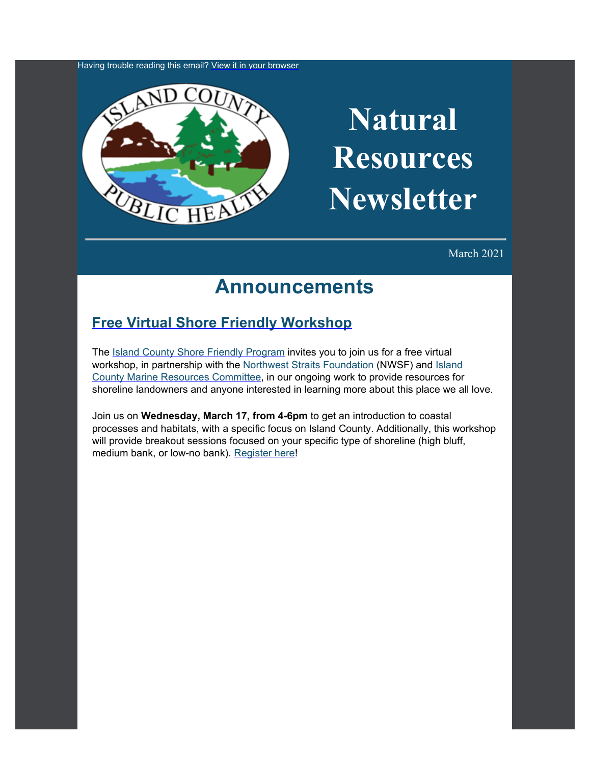Having trouble reading this email? [View it in your browser](https://content.govdelivery.com/accounts/WACOISLAND/bulletins/2c4abbe)



# **Natural Resources Newsletter**

March 2021

### **Announcements**

### **[Free Virtual Shore Friendly Workshop](https://nwstraitsfoundation.org/nearshore-restoration/shore-friendly-landowner-outreach/?utm_content=&utm_medium=email&utm_name=&utm_source=govdelivery&utm_term=)**

The [Island](https://www.islandcountywa.gov/Health/DNR/Shore-Friendly/Pages/Home.aspx?utm_content=&utm_medium=email&utm_name=&utm_source=govdelivery&utm_term=) [County Shore Friendly Program](https://www.islandcountywa.gov/Health/DNR/Shore-Friendly/Pages/Home.aspx?utm_content=&utm_medium=email&utm_name=&utm_source=govdelivery&utm_term=) invites you to join us for a free virtual workshop, in partnership with the [Northwest](https://nwstraitsfoundation.org/?utm_content=&utm_medium=email&utm_name=&utm_source=govdelivery&utm_term=) [Straits Foundation](https://nwstraitsfoundation.org/?utm_content=&utm_medium=email&utm_name=&utm_source=govdelivery&utm_term=) (NWSF) and [Island](https://www.islandcountymrc.org/?utm_content=&utm_medium=email&utm_name=&utm_source=govdelivery&utm_term=) [County Marine Resources Committee,](https://www.islandcountymrc.org/?utm_content=&utm_medium=email&utm_name=&utm_source=govdelivery&utm_term=) in our ongoing work to provide resources for shoreline landowners and anyone interested in learning more about this place we all love.

Join us on **Wednesday, March 17, from 4-6pm** to get an introduction to coastal processes and habitats, with a specific focus on Island County. Additionally, this workshop will provide breakout sessions focused on your specific type of shoreline (high bluff, medium bank, or low-no bank). [Register](https://nwstraitsfoundation.org/nearshore-restoration/shore-friendly-landowner-outreach/?utm_content=&utm_medium=email&utm_name=&utm_source=govdelivery&utm_term=) [here!](https://nwstraitsfoundation.org/nearshore-restoration/shore-friendly-landowner-outreach/?utm_content=&utm_medium=email&utm_name=&utm_source=govdelivery&utm_term=)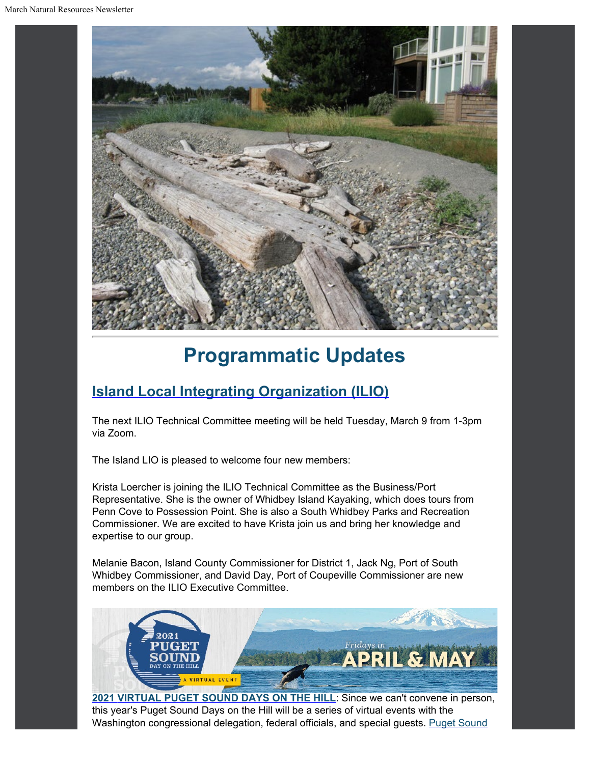

## **Programmatic Updates**

### **[Island Local Integrating Organization \(ILIO\)](https://www.islandcountywa.gov/Health/DNR/ILIO/Pages/Home.aspx?utm_content=&utm_medium=email&utm_name=&utm_source=govdelivery&utm_term=)**

The next ILIO Technical Committee meeting will be held Tuesday, March 9 from 1-3pm via Zoom.

The Island LIO is pleased to welcome four new members:

Krista Loercher is joining the ILIO Technical Committee as the Business/Port Representative. She is the owner of Whidbey Island Kayaking, which does tours from Penn Cove to Possession Point. She is also a South Whidbey Parks and Recreation Commissioner. We are excited to have Krista join us and bring her knowledge and expertise to our group.

Melanie Bacon, Island County Commissioner for District 1, Jack Ng, Port of South Whidbey Commissioner, and David Day, Port of Coupeville Commissioner are new members on the ILIO Executive Committee.



**[2021](https://www.psp.wa.gov/psdoth2021.php?utm_content=&utm_medium=email&utm_name=&utm_source=govdelivery&utm_term=) [VIRTUAL PUGET SOUND DAYS ON THE HILL](https://www.psp.wa.gov/psdoth2021.php?utm_content=&utm_medium=email&utm_name=&utm_source=govdelivery&utm_term=)**: Since we can't convene in person, this year's Puget Sound Days on the Hill will be a series of virtual events with the Washington congressional delegation, federal officials, and special guests. [Puget](https://www.psp.wa.gov/index.php?utm_content=&utm_medium=email&utm_name=&utm_source=govdelivery&utm_term=) [Sound](https://www.psp.wa.gov/index.php?utm_content=&utm_medium=email&utm_name=&utm_source=govdelivery&utm_term=)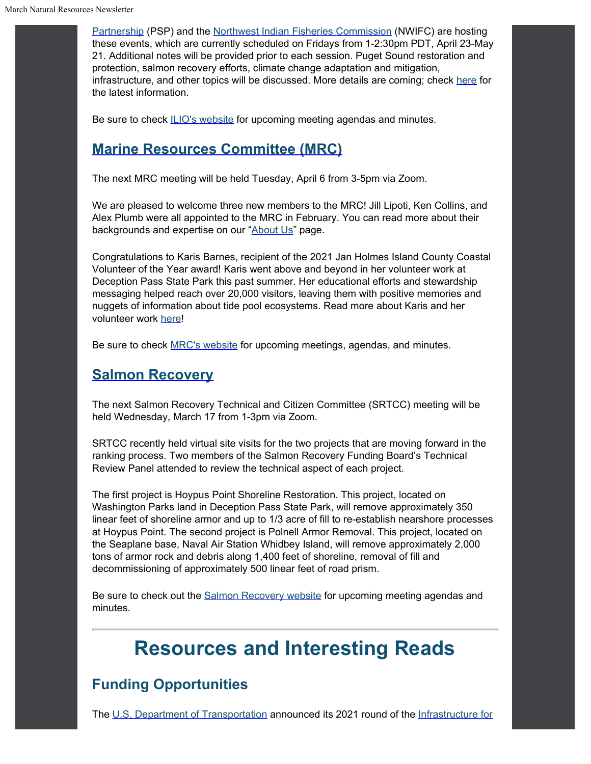[Partnership](https://www.psp.wa.gov/index.php?utm_content=&utm_medium=email&utm_name=&utm_source=govdelivery&utm_term=) (PSP) and the [Northwest](https://nwifc.org/?utm_content=&utm_medium=email&utm_name=&utm_source=govdelivery&utm_term=) [Indian Fisheries Commission](https://nwifc.org/?utm_content=&utm_medium=email&utm_name=&utm_source=govdelivery&utm_term=) (NWIFC) are hosting these events, which are currently scheduled on Fridays from 1-2:30pm PDT, April 23-May 21. Additional notes will be provided prior to each session. Puget Sound restoration and protection, salmon recovery efforts, climate change adaptation and mitigation, infrastructure, and other topics will be discussed. More details are coming; check [here](https://www.psp.wa.gov/psdoth2021.php?utm_content=&utm_medium=email&utm_name=&utm_source=govdelivery&utm_term=) for the latest information.

Be sure to check [ILIO's](https://www.islandcountywa.gov/Health/DNR/ILIO/Pages/ILIO-Agendas--Minutes.aspx?utm_content=&utm_medium=email&utm_name=&utm_source=govdelivery&utm_term=) [website](https://www.islandcountywa.gov/Health/DNR/ILIO/Pages/ILIO-Agendas--Minutes.aspx?utm_content=&utm_medium=email&utm_name=&utm_source=govdelivery&utm_term=) for upcoming meeting agendas and minutes.

### **[Marine Resources Committee \(MRC\)](https://www.islandcountymrc.org/?utm_content=&utm_medium=email&utm_name=&utm_source=govdelivery&utm_term=)**

The next MRC meeting will be held Tuesday, April 6 from 3-5pm via Zoom.

We are pleased to welcome three new members to the MRC! Jill Lipoti, Ken Collins, and Alex Plumb were all appointed to the MRC in February. You can read more about their backgrounds and expertise on our "[About Us"](https://www.islandcountymrc.org/about-us/?utm_content=&utm_medium=email&utm_name=&utm_source=govdelivery&utm_term=) page.

Congratulations to Karis Barnes, recipient of the 2021 Jan Holmes Island County Coastal Volunteer of the Year award! Karis went above and beyond in her volunteer work at Deception Pass State Park this past summer. Her educational efforts and stewardship messaging helped reach over 20,000 visitors, leaving them with positive memories and nuggets of information about tide pool ecosystems. Read more about Karis and her volunteer work [here](https://www.islandcountymrc.org/projects/volunteer-of-the-year/?utm_content=&utm_medium=email&utm_name=&utm_source=govdelivery&utm_term=)!

Be sure to check [MRC's](https://www.islandcountymrc.org/meetings-events/?utm_content=&utm_medium=email&utm_name=&utm_source=govdelivery&utm_term=) [website](https://www.islandcountymrc.org/meetings-events/?utm_content=&utm_medium=email&utm_name=&utm_source=govdelivery&utm_term=) for upcoming meetings, agendas, and minutes.

#### **[Salmon Recovery](https://www.islandcountywa.gov/Health/DNR/Salmon/Pages/Home.aspx?utm_content=&utm_medium=email&utm_name=&utm_source=govdelivery&utm_term=)**

The next Salmon Recovery Technical and Citizen Committee (SRTCC) meeting will be held Wednesday, March 17 from 1-3pm via Zoom.

SRTCC recently held virtual site visits for the two projects that are moving forward in the ranking process. Two members of the Salmon Recovery Funding Board's Technical Review Panel attended to review the technical aspect of each project.

The first project is Hoypus Point Shoreline Restoration. This project, located on Washington Parks land in Deception Pass State Park, will remove approximately 350 linear feet of shoreline armor and up to 1/3 acre of fill to re-establish nearshore processes at Hoypus Point. The second project is Polnell Armor Removal. This project, located on the Seaplane base, Naval Air Station Whidbey Island, will remove approximately 2,000 tons of armor rock and debris along 1,400 feet of shoreline, removal of fill and decommissioning of approximately 500 linear feet of road prism.

Be sure to check out the [Salmon](https://www.islandcountywa.gov/Health/DNR/Salmon/Pages/SRTCC-Meeting-Notes.aspx?utm_content=&utm_medium=email&utm_name=&utm_source=govdelivery&utm_term=) [Recovery website](https://www.islandcountywa.gov/Health/DNR/Salmon/Pages/SRTCC-Meeting-Notes.aspx?utm_content=&utm_medium=email&utm_name=&utm_source=govdelivery&utm_term=) for upcoming meeting agendas and minutes.

### **Resources and Interesting Reads**

### **Funding Opportunities**

The [U.S.](https://www.transportation.gov/buildamerica/financing/infra-grants/infrastructure-rebuilding-america?utm_content=&utm_medium=email&utm_name=&utm_source=govdelivery&utm_term=) [Department of Transportation](https://www.transportation.gov/buildamerica/financing/infra-grants/infrastructure-rebuilding-america?utm_content=&utm_medium=email&utm_name=&utm_source=govdelivery&utm_term=) announced its 2021 round of the [Infrastructure](https://www.transportation.gov/buildamerica/financing/infra-grants/infrastructure-rebuilding-america?utm_content=&utm_medium=email&utm_name=&utm_source=govdelivery&utm_term=) [for](https://www.transportation.gov/buildamerica/financing/infra-grants/infrastructure-rebuilding-america?utm_content=&utm_medium=email&utm_name=&utm_source=govdelivery&utm_term=)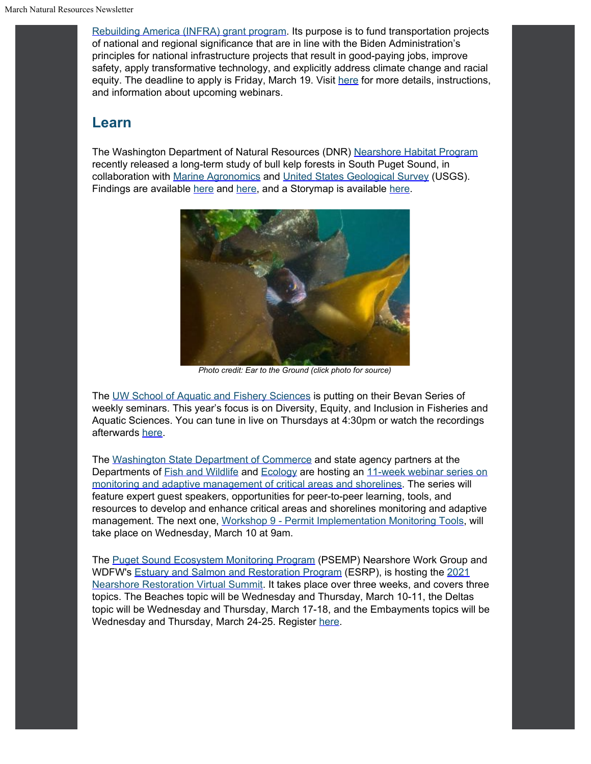[Rebuilding America \(INFRA\) grant program.](https://www.transportation.gov/buildamerica/financing/infra-grants/infrastructure-rebuilding-america?utm_content=&utm_medium=email&utm_name=&utm_source=govdelivery&utm_term=) Its purpose is to fund transportation projects of national and regional significance that are in line with the Biden Administration's principles for national infrastructure projects that result in good-paying jobs, improve safety, apply transformative technology, and explicitly address climate change and racial equity. The deadline to apply is Friday, March 19. Visit [here](https://www.transportation.gov/buildamerica/financing/infra-grants/infra-grants-faqs?utm_content=&utm_medium=email&utm_name=&utm_source=govdelivery&utm_term=) for more details, instructions, and information about upcoming webinars.

#### **Learn**

The Washington Department of Natural Resources (DNR) [Nearshore](https://www.dnr.wa.gov/programs-and-services/aquatics/aquatic-science?utm_content=&utm_medium=email&utm_name=&utm_source=govdelivery&utm_term=) [Habitat Program](https://www.dnr.wa.gov/programs-and-services/aquatics/aquatic-science?utm_content=&utm_medium=email&utm_name=&utm_source=govdelivery&utm_term=) recently released a long-term study of bull kelp forests in South Puget Sound, in collaboration with [Marine](http://www.marineagronomics.com/?utm_content=&utm_medium=email&utm_name=&utm_source=govdelivery&utm_term=) [Agronomics](http://www.marineagronomics.com/?utm_content=&utm_medium=email&utm_name=&utm_source=govdelivery&utm_term=) and [United](https://www.usgs.gov/?utm_content=&utm_medium=email&utm_name=&utm_source=govdelivery&utm_term=) [States Geological Survey](https://www.usgs.gov/?utm_content=&utm_medium=email&utm_name=&utm_source=govdelivery&utm_term=) (USGS). Findings are available [here](https://journals.plos.org/plosone/article?id=10.1371%2Fjournal.pone.0229703&utm_content=&utm_medium=email&utm_name=&utm_source=govdelivery&utm_term=) and [here,](https://washingtondnr.wordpress.com/2021/02/18/kelp-forests-are-disappearing-from-south-puget-sound/?utm_content=&utm_medium=email&utm_name=&utm_source=govdelivery&utm_term=) and a Storymap is available [here](https://storymaps.arcgis.com/stories/636b37a1b5f44105a485237e52adb651?utm_content=&utm_medium=email&utm_name=&utm_source=govdelivery&utm_term=).



*Photo credit: Ear to the Ground (click photo for source)*

The [UW](https://fish.uw.edu/news-events/seminar-series/bevan-series/?utm_content=&utm_medium=email&utm_name=&utm_source=govdelivery&utm_term=) [School of Aquatic and Fishery Sciences](https://fish.uw.edu/news-events/seminar-series/bevan-series/?utm_content=&utm_medium=email&utm_name=&utm_source=govdelivery&utm_term=) is putting on their Bevan Series of weekly seminars. This year's focus is on Diversity, Equity, and Inclusion in Fisheries and Aquatic Sciences. You can tune in live on Thursdays at 4:30pm or watch the recordings afterwards [here](https://fish.uw.edu/news-events/seminar-series/bevan-series/?utm_content=&utm_medium=email&utm_name=&utm_source=govdelivery&utm_term=).

The [Washington](https://lnks.gd/l/eyJhbGciOiJIUzI1NiJ9.eyJidWxsZXRpbl9saW5rX2lkIjoxMjUsInVyaSI6ImJwMjpjbGljayIsImJ1bGxldGluX2lkIjoiMjAyMDEyMDguMzE3Njg0OTEiLCJ1cmwiOiJodHRwczovL2xua3MuZ2QvbC9leUpoYkdjaU9pSklVekkxTmlKOS5leUppZFd4c1pYUnBibDlzYVc1clgybGtJam94TXpVc0luVnlhU0k2SW1Kd01qcGpiR2xqYXlJc0ltSjFiR3hsZEdsdVgybGtJam9pTWpBeU1ERXhNRFl1TXpBd01qWTRPREVpTENKMWNtd2lPaUpvZEhSd2N6b3ZMM2QzZHk1amIyMXRaWEpqWlM1M1lTNW5iM1l2YzJWeWRtbHVaeTFqYjIxdGRXNXBkR2xsY3k5bmNtOTNkR2d0YldGdVlXZGxiV1Z1ZEM5bmNtOTNkR2d0YldGdVlXZGxiV1Z1ZEMxMGIzQnBZM012WTNKcGRHbGpZV3d0WVhKbFlYTXZQM1YwYlY5amIyNTBaVzUwUFNaMWRHMWZiV1ZrYVhWdFBXVnRZV2xzSm5WMGJWOXVZVzFsUFNaMWRHMWZjMjkxY21ObFBXZHZkbVJsYkdsMlpYSjVKblYwYlY5MFpYSnRQU0o5LkwxMERPZU11SFpZck1YMWZkZndUN1FJMUpSVkQ1cVZuRUV4ZDVQdWpwakUvcy8xMTE5MjY0Mzg3L2JyLzg4MTA4NjQ0MzE4LWw_dXRtX2NvbnRlbnQ9JnV0bV9tZWRpdW09ZW1haWwmdXRtX25hbWU9JnV0bV9zb3VyY2U9Z292ZGVsaXZlcnkmdXRtX3Rlcm09In0.4CoGHwzDy3dYhNsqJIx43e9MYcJCFCEBidr9srUShKo/s/1119264387/br/91325605607-l?utm_content=&utm_medium=email&utm_name=&utm_source=govdelivery&utm_term=) [State Department of Commerce](https://lnks.gd/l/eyJhbGciOiJIUzI1NiJ9.eyJidWxsZXRpbl9saW5rX2lkIjoxMjUsInVyaSI6ImJwMjpjbGljayIsImJ1bGxldGluX2lkIjoiMjAyMDEyMDguMzE3Njg0OTEiLCJ1cmwiOiJodHRwczovL2xua3MuZ2QvbC9leUpoYkdjaU9pSklVekkxTmlKOS5leUppZFd4c1pYUnBibDlzYVc1clgybGtJam94TXpVc0luVnlhU0k2SW1Kd01qcGpiR2xqYXlJc0ltSjFiR3hsZEdsdVgybGtJam9pTWpBeU1ERXhNRFl1TXpBd01qWTRPREVpTENKMWNtd2lPaUpvZEhSd2N6b3ZMM2QzZHk1amIyMXRaWEpqWlM1M1lTNW5iM1l2YzJWeWRtbHVaeTFqYjIxdGRXNXBkR2xsY3k5bmNtOTNkR2d0YldGdVlXZGxiV1Z1ZEM5bmNtOTNkR2d0YldGdVlXZGxiV1Z1ZEMxMGIzQnBZM012WTNKcGRHbGpZV3d0WVhKbFlYTXZQM1YwYlY5amIyNTBaVzUwUFNaMWRHMWZiV1ZrYVhWdFBXVnRZV2xzSm5WMGJWOXVZVzFsUFNaMWRHMWZjMjkxY21ObFBXZHZkbVJsYkdsMlpYSjVKblYwYlY5MFpYSnRQU0o5LkwxMERPZU11SFpZck1YMWZkZndUN1FJMUpSVkQ1cVZuRUV4ZDVQdWpwakUvcy8xMTE5MjY0Mzg3L2JyLzg4MTA4NjQ0MzE4LWw_dXRtX2NvbnRlbnQ9JnV0bV9tZWRpdW09ZW1haWwmdXRtX25hbWU9JnV0bV9zb3VyY2U9Z292ZGVsaXZlcnkmdXRtX3Rlcm09In0.4CoGHwzDy3dYhNsqJIx43e9MYcJCFCEBidr9srUShKo/s/1119264387/br/91325605607-l?utm_content=&utm_medium=email&utm_name=&utm_source=govdelivery&utm_term=) and state agency partners at the Departments of [Fish](https://lnks.gd/l/eyJhbGciOiJIUzI1NiJ9.eyJidWxsZXRpbl9saW5rX2lkIjoxMjYsInVyaSI6ImJwMjpjbGljayIsImJ1bGxldGluX2lkIjoiMjAyMDEyMDguMzE3Njg0OTEiLCJ1cmwiOiJodHRwczovL2xua3MuZ2QvbC9leUpoYkdjaU9pSklVekkxTmlKOS5leUppZFd4c1pYUnBibDlzYVc1clgybGtJam94TXpZc0luVnlhU0k2SW1Kd01qcGpiR2xqYXlJc0ltSjFiR3hsZEdsdVgybGtJam9pTWpBeU1ERXhNRFl1TXpBd01qWTRPREVpTENKMWNtd2lPaUpvZEhSd2N6b3ZMM2RrWm5jdWQyRXVaMjkyTHo5MWRHMWZZMjl1ZEdWdWREMG1kWFJ0WDIxbFpHbDFiVDFsYldGcGJDWjFkRzFmYm1GdFpUMG1kWFJ0WDNOdmRYSmpaVDFuYjNaa1pXeHBkbVZ5ZVNaMWRHMWZkR1Z5YlQwaWZRLlpjRThlRnNKLXdJX0F6VmRZTzV6QkVwaGNlMjRwUVRmd242MzdZc21LbUUvcy8xMTE5MjY0Mzg3L2JyLzg4MTA4NjQ0MzE4LWw_dXRtX2NvbnRlbnQ9JnV0bV9tZWRpdW09ZW1haWwmdXRtX25hbWU9JnV0bV9zb3VyY2U9Z292ZGVsaXZlcnkmdXRtX3Rlcm09In0.VpK12PDwRq2FLLypgiDL9dbQxZA1Ozx9qU7cH6wLMpA/s/1119264387/br/91325605607-l?utm_content=&utm_medium=email&utm_name=&utm_source=govdelivery&utm_term=) [and Wildlife](https://lnks.gd/l/eyJhbGciOiJIUzI1NiJ9.eyJidWxsZXRpbl9saW5rX2lkIjoxMjYsInVyaSI6ImJwMjpjbGljayIsImJ1bGxldGluX2lkIjoiMjAyMDEyMDguMzE3Njg0OTEiLCJ1cmwiOiJodHRwczovL2xua3MuZ2QvbC9leUpoYkdjaU9pSklVekkxTmlKOS5leUppZFd4c1pYUnBibDlzYVc1clgybGtJam94TXpZc0luVnlhU0k2SW1Kd01qcGpiR2xqYXlJc0ltSjFiR3hsZEdsdVgybGtJam9pTWpBeU1ERXhNRFl1TXpBd01qWTRPREVpTENKMWNtd2lPaUpvZEhSd2N6b3ZMM2RrWm5jdWQyRXVaMjkyTHo5MWRHMWZZMjl1ZEdWdWREMG1kWFJ0WDIxbFpHbDFiVDFsYldGcGJDWjFkRzFmYm1GdFpUMG1kWFJ0WDNOdmRYSmpaVDFuYjNaa1pXeHBkbVZ5ZVNaMWRHMWZkR1Z5YlQwaWZRLlpjRThlRnNKLXdJX0F6VmRZTzV6QkVwaGNlMjRwUVRmd242MzdZc21LbUUvcy8xMTE5MjY0Mzg3L2JyLzg4MTA4NjQ0MzE4LWw_dXRtX2NvbnRlbnQ9JnV0bV9tZWRpdW09ZW1haWwmdXRtX25hbWU9JnV0bV9zb3VyY2U9Z292ZGVsaXZlcnkmdXRtX3Rlcm09In0.VpK12PDwRq2FLLypgiDL9dbQxZA1Ozx9qU7cH6wLMpA/s/1119264387/br/91325605607-l?utm_content=&utm_medium=email&utm_name=&utm_source=govdelivery&utm_term=) and [Ecology](https://lnks.gd/l/eyJhbGciOiJIUzI1NiJ9.eyJidWxsZXRpbl9saW5rX2lkIjoxMjcsInVyaSI6ImJwMjpjbGljayIsImJ1bGxldGluX2lkIjoiMjAyMDEyMDguMzE3Njg0OTEiLCJ1cmwiOiJodHRwczovL2xua3MuZ2QvbC9leUpoYkdjaU9pSklVekkxTmlKOS5leUppZFd4c1pYUnBibDlzYVc1clgybGtJam94TXpjc0luVnlhU0k2SW1Kd01qcGpiR2xqYXlJc0ltSjFiR3hsZEdsdVgybGtJam9pTWpBeU1ERXhNRFl1TXpBd01qWTRPREVpTENKMWNtd2lPaUpvZEhSd2N6b3ZMMlZqYjJ4dloza3VkMkV1WjI5Mkx6OTFkRzFmWTI5dWRHVnVkRDBtZFhSdFgyMWxaR2wxYlQxbGJXRnBiQ1oxZEcxZmJtRnRaVDBtZFhSdFgzTnZkWEpqWlQxbmIzWmtaV3hwZG1WeWVTWjFkRzFmZEdWeWJUMGlmUS5VTUoyRTlBWUxHS3gxaW9OS3ZadUVfM2ZPUUJsVkNZTmdzNEprM2p4SzZjL3MvMTExOTI2NDM4Ny9ici84ODEwODY0NDMxOC1sP3V0bV9jb250ZW50PSZ1dG1fbWVkaXVtPWVtYWlsJnV0bV9uYW1lPSZ1dG1fc291cmNlPWdvdmRlbGl2ZXJ5JnV0bV90ZXJtPSJ9.BwSyXDKTXanqHYdMl4DscY_jI8OGfXxczk2F4ttRbkI/s/1119264387/br/91325605607-l?utm_content=&utm_medium=email&utm_name=&utm_source=govdelivery&utm_term=) are hosting an [11-week](https://lnks.gd/l/eyJhbGciOiJIUzI1NiJ9.eyJidWxsZXRpbl9saW5rX2lkIjoxMjgsInVyaSI6ImJwMjpjbGljayIsImJ1bGxldGluX2lkIjoiMjAyMDEyMDguMzE3Njg0OTEiLCJ1cmwiOiJodHRwczovL3d3dy5lenZpZXcud2EuZ292L3NpdGUvYWxpYXNfXzE5OTIvMzc2NjIvMjAyMV93b3Jrc2hvcHMuYXNweD91dG1fY29udGVudD0mdXRtX21lZGl1bT1lbWFpbCZ1dG1fbmFtZT0mdXRtX3NvdXJjZT1nb3ZkZWxpdmVyeSZ1dG1fdGVybT0ifQ.ro7DvCPAPa7SutvgYhbgRFFWpRhefA1t82Kqv0SotRw/s/1119264387/br/91325605607-l?utm_content=&utm_medium=email&utm_name=&utm_source=govdelivery&utm_term=) [webinar series on](https://lnks.gd/l/eyJhbGciOiJIUzI1NiJ9.eyJidWxsZXRpbl9saW5rX2lkIjoxMjgsInVyaSI6ImJwMjpjbGljayIsImJ1bGxldGluX2lkIjoiMjAyMDEyMDguMzE3Njg0OTEiLCJ1cmwiOiJodHRwczovL3d3dy5lenZpZXcud2EuZ292L3NpdGUvYWxpYXNfXzE5OTIvMzc2NjIvMjAyMV93b3Jrc2hvcHMuYXNweD91dG1fY29udGVudD0mdXRtX21lZGl1bT1lbWFpbCZ1dG1fbmFtZT0mdXRtX3NvdXJjZT1nb3ZkZWxpdmVyeSZ1dG1fdGVybT0ifQ.ro7DvCPAPa7SutvgYhbgRFFWpRhefA1t82Kqv0SotRw/s/1119264387/br/91325605607-l?utm_content=&utm_medium=email&utm_name=&utm_source=govdelivery&utm_term=) [monitoring and adaptive management of critical](https://lnks.gd/l/eyJhbGciOiJIUzI1NiJ9.eyJidWxsZXRpbl9saW5rX2lkIjoxMjgsInVyaSI6ImJwMjpjbGljayIsImJ1bGxldGluX2lkIjoiMjAyMDEyMDguMzE3Njg0OTEiLCJ1cmwiOiJodHRwczovL3d3dy5lenZpZXcud2EuZ292L3NpdGUvYWxpYXNfXzE5OTIvMzc2NjIvMjAyMV93b3Jrc2hvcHMuYXNweD91dG1fY29udGVudD0mdXRtX21lZGl1bT1lbWFpbCZ1dG1fbmFtZT0mdXRtX3NvdXJjZT1nb3ZkZWxpdmVyeSZ1dG1fdGVybT0ifQ.ro7DvCPAPa7SutvgYhbgRFFWpRhefA1t82Kqv0SotRw/s/1119264387/br/91325605607-l?utm_content=&utm_medium=email&utm_name=&utm_source=govdelivery&utm_term=) [areas and shorelines](https://lnks.gd/l/eyJhbGciOiJIUzI1NiJ9.eyJidWxsZXRpbl9saW5rX2lkIjoxMjgsInVyaSI6ImJwMjpjbGljayIsImJ1bGxldGluX2lkIjoiMjAyMDEyMDguMzE3Njg0OTEiLCJ1cmwiOiJodHRwczovL3d3dy5lenZpZXcud2EuZ292L3NpdGUvYWxpYXNfXzE5OTIvMzc2NjIvMjAyMV93b3Jrc2hvcHMuYXNweD91dG1fY29udGVudD0mdXRtX21lZGl1bT1lbWFpbCZ1dG1fbmFtZT0mdXRtX3NvdXJjZT1nb3ZkZWxpdmVyeSZ1dG1fdGVybT0ifQ.ro7DvCPAPa7SutvgYhbgRFFWpRhefA1t82Kqv0SotRw/s/1119264387/br/91325605607-l?utm_content=&utm_medium=email&utm_name=&utm_source=govdelivery&utm_term=). The series will feature expert guest speakers, opportunities for peer-to-peer learning, tools, and resources to develop and enhance critical areas and shorelines monitoring and adaptive management. The next one, [Workshop](https://www.ezview.wa.gov/DesktopModules/CalendarEvents/EventView.aspx?ItemID=398&alias=1992&mid=70375&tabID=37662&utm_content=&utm_medium=email&utm_name=&utm_source=govdelivery&utm_term=) [9 - Permit Implementation Monitoring Tools](https://www.ezview.wa.gov/DesktopModules/CalendarEvents/EventView.aspx?ItemID=398&alias=1992&mid=70375&tabID=37662&utm_content=&utm_medium=email&utm_name=&utm_source=govdelivery&utm_term=), will take place on Wednesday, March 10 at 9am.

The [Puget](https://www.psp.wa.gov/PSEMP-overview.php?utm_content=&utm_medium=email&utm_name=&utm_source=govdelivery&utm_term=) [Sound Ecosystem Monitoring Program](https://www.psp.wa.gov/PSEMP-overview.php?utm_content=&utm_medium=email&utm_name=&utm_source=govdelivery&utm_term=) (PSEMP) Nearshore Work Group and WDFW's [Estuary](https://wdfw.wa.gov/species-habitats/habitat-recovery/nearshore/conservation/programs/esrp?utm_content=&utm_medium=email&utm_name=&utm_source=govdelivery&utm_term=) [and Salmon and Restoration Program](https://wdfw.wa.gov/species-habitats/habitat-recovery/nearshore/conservation/programs/esrp?utm_content=&utm_medium=email&utm_name=&utm_source=govdelivery&utm_term=) (ESRP), is hosting the [2021](https://wdfw.wa.gov/species-habitats/habitat-recovery/nearshore/conservation/programs/esrp/nearshore-summit?utm_content=&utm_medium=email&utm_name=&utm_source=govdelivery&utm_term=) [Nearshore Restoration Virtual Summit](https://wdfw.wa.gov/species-habitats/habitat-recovery/nearshore/conservation/programs/esrp/nearshore-summit?utm_content=&utm_medium=email&utm_name=&utm_source=govdelivery&utm_term=). It takes place over three weeks, and covers three topics. The Beaches topic will be Wednesday and Thursday, March 10-11, the Deltas topic will be Wednesday and Thursday, March 17-18, and the Embayments topics will be Wednesday and Thursday, March 24-25. Register [here](https://zoom.us/webinar/register/WN_aaCjDbY9RoKhHGS4TRcIuw?utm_content=&utm_medium=email&utm_name=&utm_source=govdelivery&utm_term=).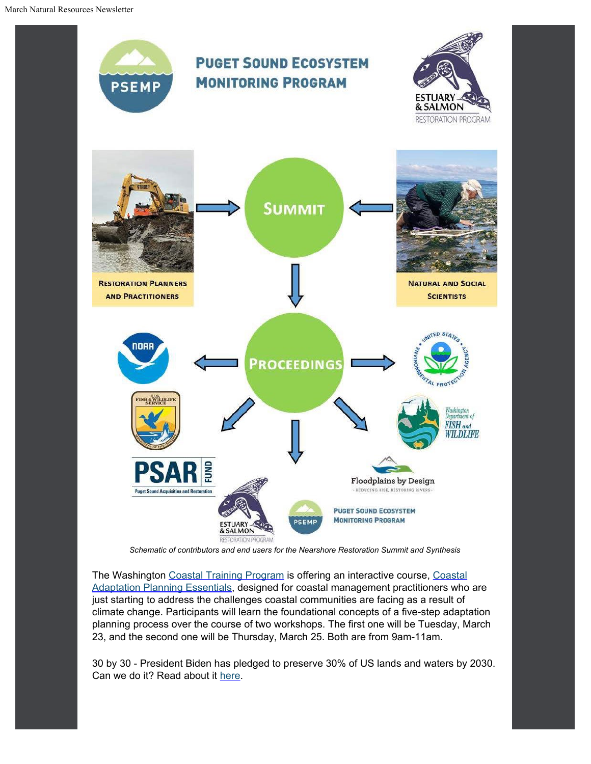

The Washington [Coastal](https://coastaltraining-wa.org/event-4141186?utm_content=&utm_medium=email&utm_name=&utm_source=govdelivery&utm_term=) [Training Program](https://coastaltraining-wa.org/event-4141186?utm_content=&utm_medium=email&utm_name=&utm_source=govdelivery&utm_term=) is offering an interactive course, Coastal [Adaptation Planning Essentials,](https://coastaltraining-wa.org/event-4141186?utm_content=&utm_medium=email&utm_name=&utm_source=govdelivery&utm_term=) designed for coastal management practitioners who are just starting to address the challenges coastal communities are facing as a result of climate change. Participants will learn the foundational concepts of a five-step adaptation planning process over the course of two workshops. The first one will be Tuesday, March 23, and the second one will be Thursday, March 25. Both are from 9am-11am.

30 by 30 - President Biden has pledged to preserve 30% of US lands and waters by 2030. Can we do it? Read about it [here](https://www.theguardian.com/environment/2021/feb/17/biden-public-lands-waters-30-by-30?CMP=Share_AndroidApp_Other&utm_content=&utm_medium=email&utm_name=&utm_source=govdelivery&utm_term=).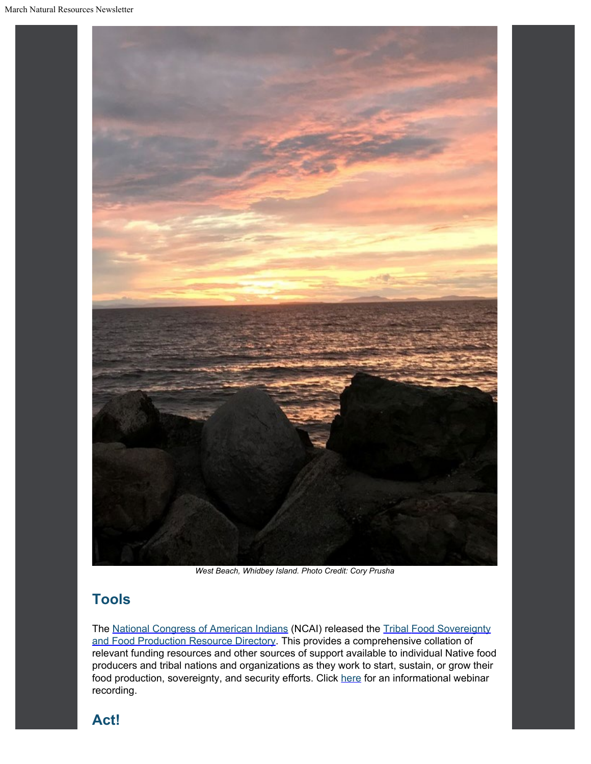

*West Beach, Whidbey Island. Photo Credit: Cory Prusha*

### **Tools**

The [National](https://www.ncai.org/?utm_content=&utm_medium=email&utm_name=&utm_source=govdelivery&utm_term=) [Congress of American Indians](https://www.ncai.org/?utm_content=&utm_medium=email&utm_name=&utm_source=govdelivery&utm_term=) (NCAI) released the [Tribal](https://www.ncai.org/fooddirectory.pdf?utm_content=&utm_medium=email&utm_name=&utm_source=govdelivery&utm_term=) [Food Sovereignty](https://www.ncai.org/fooddirectory.pdf?utm_content=&utm_medium=email&utm_name=&utm_source=govdelivery&utm_term=) [and Food Production Resource Directory.](https://www.ncai.org/fooddirectory.pdf?utm_content=&utm_medium=email&utm_name=&utm_source=govdelivery&utm_term=) This provides a comprehensive collation of relevant funding resources and other sources of support available to individual Native food producers and tribal nations and organizations as they work to start, sustain, or grow their food production, sovereignty, and security efforts. Click [here](https://www.youtube.com/watch?t=1s&utm_content=&utm_medium=email&utm_name=&utm_source=govdelivery&utm_term=&v=ti2unWRN29I) for an informational webinar recording.

### **Act!**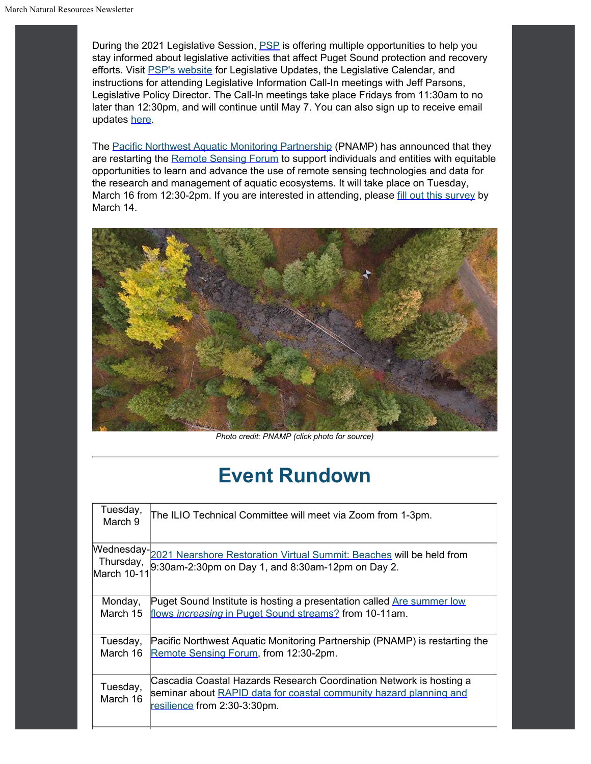During the 2021 Legislative Session, **[PSP](https://psp.wa.gov/legislative_updates.php?utm_content=&utm_medium=email&utm_name=&utm_source=govdelivery&utm_term=)** is offering multiple opportunities to help you stay informed about legislative activities that affect Puget Sound protection and recovery efforts. Visit [PSP's](https://psp.wa.gov/legislative_updates.php?utm_content=&utm_medium=email&utm_name=&utm_source=govdelivery&utm_term=) [website](https://psp.wa.gov/legislative_updates.php?utm_content=&utm_medium=email&utm_name=&utm_source=govdelivery&utm_term=) for Legislative Updates, the Legislative Calendar, and instructions for attending Legislative Information Call-In meetings with Jeff Parsons, Legislative Policy Director. The Call-In meetings take place Fridays from 11:30am to no later than 12:30pm, and will continue until May 7. You can also sign up to receive email updates [here](https://psp.wa.gov/legislative_updates.php?utm_content=&utm_medium=email&utm_name=&utm_source=govdelivery&utm_term=).

The [Pacific](https://www.pnamp.org/?utm_content=&utm_medium=email&utm_name=&utm_source=govdelivery&utm_term=) [Northwest Aquatic Monitoring Partnership](https://www.pnamp.org/?utm_content=&utm_medium=email&utm_name=&utm_source=govdelivery&utm_term=) (PNAMP) has announced that they are restarting the [Remote](https://www.eventbrite.com/e/pnamp-remote-sensing-forum-reboot-tickets-143128397891?utm_content=&utm_medium=email&utm_name=&utm_source=govdelivery&utm_term=) [Sensing Forum](https://www.eventbrite.com/e/pnamp-remote-sensing-forum-reboot-tickets-143128397891?utm_content=&utm_medium=email&utm_name=&utm_source=govdelivery&utm_term=) to support individuals and entities with equitable opportunities to learn and advance the use of remote sensing technologies and data for the research and management of aquatic ecosystems. It will take place on Tuesday, March 16 from 12:30-2pm. If you are interested in attending, please [fill](https://forms.office.com/Pages/ResponsePage.aspx?id=urWTBhhLe02TQfMvQApUlDfntBIJuklFje3SeI0iJwZUOFlKRDlaSUVZUTBJVTFXVEJTTTZEN04xViQlQCN0PWcu&utm_content=&utm_medium=email&utm_name=&utm_source=govdelivery&utm_term=) [out this survey](https://forms.office.com/Pages/ResponsePage.aspx?id=urWTBhhLe02TQfMvQApUlDfntBIJuklFje3SeI0iJwZUOFlKRDlaSUVZUTBJVTFXVEJTTTZEN04xViQlQCN0PWcu&utm_content=&utm_medium=email&utm_name=&utm_source=govdelivery&utm_term=) by March 14.



*Photo credit: PNAMP (click photo for source)*

### **Event Rundown**

| Tuesday,<br>March 9  | The ILIO Technical Committee will meet via Zoom from 1-3pm.                                                                                                               |
|----------------------|---------------------------------------------------------------------------------------------------------------------------------------------------------------------------|
| March 10-11          | Wednesday-2021 Nearshore Restoration Virtual Summit: Beaches will be held from<br>Thursday, 230am-2:30pm on Day 1, and 8:30am-12pm on Day 2.                              |
| Monday,<br>March 15  | Puget Sound Institute is hosting a presentation called Are summer low<br>flows increasing in Puget Sound streams? from 10-11am.                                           |
| Tuesday,<br>March 16 | Pacific Northwest Aquatic Monitoring Partnership (PNAMP) is restarting the<br>Remote Sensing Forum, from 12:30-2pm.                                                       |
| Tuesday,<br>March 16 | Cascadia Coastal Hazards Research Coordination Network is hosting a<br>seminar about RAPID data for coastal community hazard planning and<br>resilience from 2:30-3:30pm. |